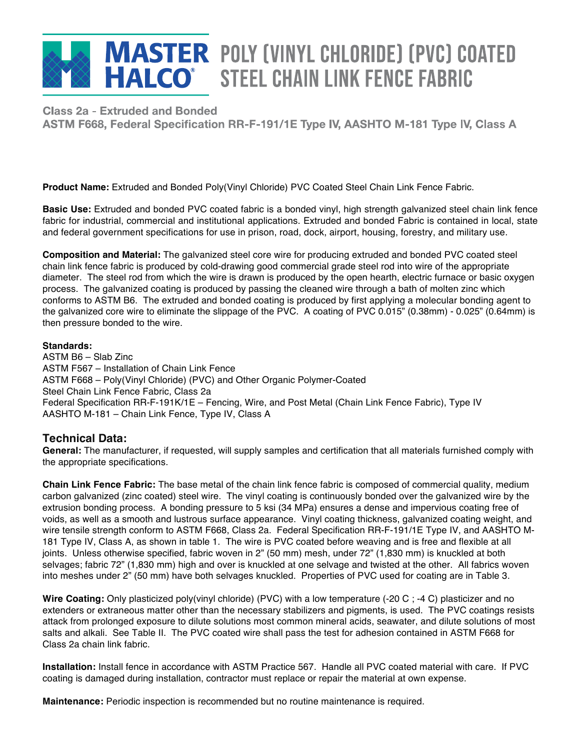# **MASTER POLY (VINYL CHLORIDE) (PVC) COATED HALCO** STEEL CHAIN LINK FENCE FABRIC

Class 2a - Extruded and Bonded ASTM F668, Federal Specification RR-F-191/1E Type IV, AASHTO M-181 Type IV, Class A

**Product Name:** Extruded and Bonded Poly(Vinyl Chloride) PVC Coated Steel Chain Link Fence Fabric.

**Basic Use:** Extruded and bonded PVC coated fabric is a bonded vinyl, high strength galvanized steel chain link fence fabric for industrial, commercial and institutional applications. Extruded and bonded Fabric is contained in local, state and federal government specifications for use in prison, road, dock, airport, housing, forestry, and military use.

**Composition and Material:** The galvanized steel core wire for producing extruded and bonded PVC coated steel chain link fence fabric is produced by cold-drawing good commercial grade steel rod into wire of the appropriate diameter. The steel rod from which the wire is drawn is produced by the open hearth, electric furnace or basic oxygen process. The galvanized coating is produced by passing the cleaned wire through a bath of molten zinc which conforms to ASTM B6. The extruded and bonded coating is produced by first applying a molecular bonding agent to the galvanized core wire to eliminate the slippage of the PVC. A coating of PVC 0.015" (0.38mm) - 0.025" (0.64mm) is then pressure bonded to the wire.

### **Standards:**

ASTM B6 – Slab Zinc ASTM F567 – Installation of Chain Link Fence ASTM F668 – Poly(Vinyl Chloride) (PVC) and Other Organic Polymer-Coated Steel Chain Link Fence Fabric, Class 2a Federal Specification RR-F-191K/1E – Fencing, Wire, and Post Metal (Chain Link Fence Fabric), Type IV AASHTO M-181 – Chain Link Fence, Type IV, Class A

## **Technical Data:**

**General:** The manufacturer, if requested, will supply samples and certification that all materials furnished comply with the appropriate specifications.

**Chain Link Fence Fabric:** The base metal of the chain link fence fabric is composed of commercial quality, medium carbon galvanized (zinc coated) steel wire. The vinyl coating is continuously bonded over the galvanized wire by the extrusion bonding process. A bonding pressure to 5 ksi (34 MPa) ensures a dense and impervious coating free of voids, as well as a smooth and lustrous surface appearance. Vinyl coating thickness, galvanized coating weight, and wire tensile strength conform to ASTM F668, Class 2a. Federal Specification RR-F-191/1E Type IV, and AASHTO M-181 Type IV, Class A, as shown in table 1. The wire is PVC coated before weaving and is free and flexible at all joints. Unless otherwise specified, fabric woven in 2" (50 mm) mesh, under 72" (1,830 mm) is knuckled at both selvages; fabric 72" (1,830 mm) high and over is knuckled at one selvage and twisted at the other. All fabrics woven into meshes under 2" (50 mm) have both selvages knuckled. Properties of PVC used for coating are in Table 3.

**Wire Coating:** Only plasticized poly(vinyl chloride) (PVC) with a low temperature (-20 C ; -4 C) plasticizer and no extenders or extraneous matter other than the necessary stabilizers and pigments, is used. The PVC coatings resists attack from prolonged exposure to dilute solutions most common mineral acids, seawater, and dilute solutions of most salts and alkali. See Table II. The PVC coated wire shall pass the test for adhesion contained in ASTM F668 for Class 2a chain link fabric.

**Installation:** Install fence in accordance with ASTM Practice 567. Handle all PVC coated material with care. If PVC coating is damaged during installation, contractor must replace or repair the material at own expense.

**Maintenance:** Periodic inspection is recommended but no routine maintenance is required.